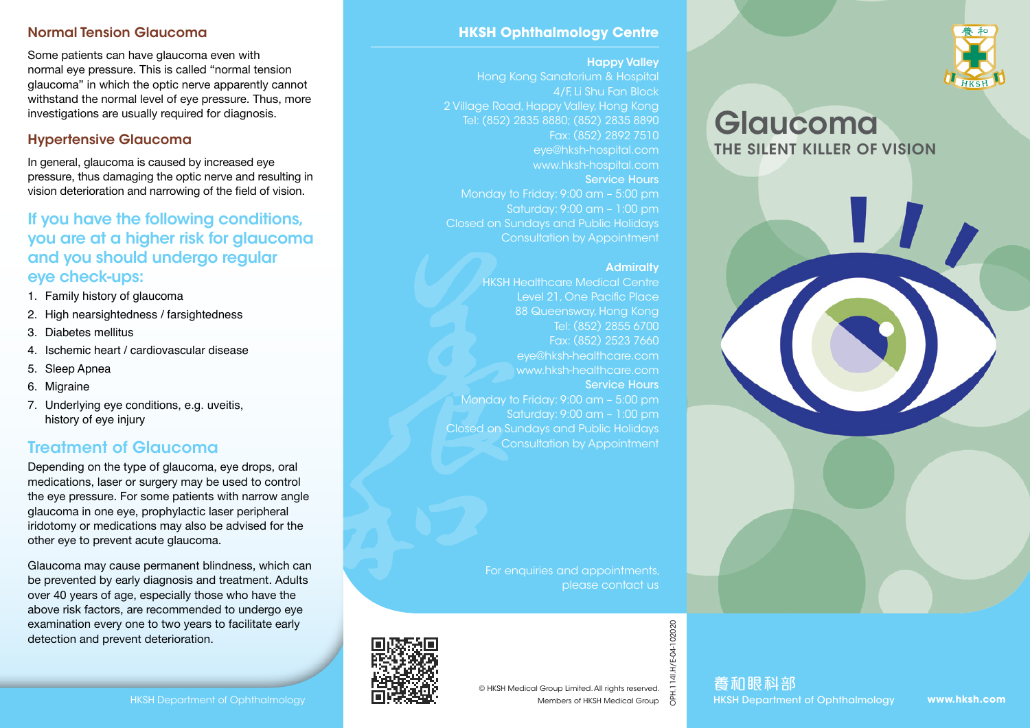#### Normal Tension Glaucoma

Some patients can have glaucoma even with normal eye pressure. This is called "normal tension glaucoma" in which the optic nerve apparently cannot withstand the normal level of eye pressure. Thus, more investigations are usually required for diagnosis.

## Hypertensive Glaucoma

In general, glaucoma is caused by increased eye pressure, thus damaging the optic nerve and resulting in vision deterioration and narrowing of the field of vision.

## If you have the following conditions, you are at a higher risk for glaucoma and you should undergo regular eye check-ups:

- 1. Family history of glaucoma
- 2. High nearsightedness / farsightedness
- 3. Diabetes mellitus
- 4. Ischemic heart / cardiovascular disease
- 5. Sleep Apnea
- 6. Migraine
- 7. Underlying eye conditions, e.g. uveitis, history of eye injury

# Treatment of Glaucoma

Depending on the type of glaucoma, eye drops, oral medications, laser or surgery may be used to control the eye pressure. For some patients with narrow angle glaucoma in one eye, prophylactic laser peripheral iridotomy or medications may also be advised for the other eye to prevent acute glaucoma.

Glaucoma may cause permanent blindness, which can be prevented by early diagnosis and treatment. Adults over 40 years of age, especially those who have the above risk factors, are recommended to undergo eye examination every one to two years to facilitate early detection and prevent deterioration.

## **HKSH Ophthalmology Centre**

#### Happy Valley

Hong Kong Sanatorium & Hospital 4/F, Li Shu Fan Block 2 Village Road, Happy Valley, Hong Kong Tel: (852) 2835 8880; (852) 2835 8890 Fax: (852) 2892 7510 eye@hksh-hospital.com www.hksh-hospital.com Service Hours Monday to Friday: 9:00 am – 5:00 pm Saturday: 9:00 am – 1:00 pm Closed on Sundays and Public Holidays Consultation by Appointment

#### **Admiralty**

HKSH Healthcare Medical Centre Level 21, One Pacific Place 88 Queensway, Hong Kong Tel: (852) 2855 6700 Fax: (852) 2523 7660 eye@hksh-healthcare.com www.hksh-healthcare.com Service Hours Monday to Friday: 9:00 am – 5:00 pm Saturday: 9:00 am – 1:00 pm Closed on Sundays and Public Holidays Consultation by Appointment

> For enquiries and appointments, please contact us



OPH.114I.H/E-04-102020

H/E-04-102020





# Glaucoma THE SILENT KILLER OF VISION